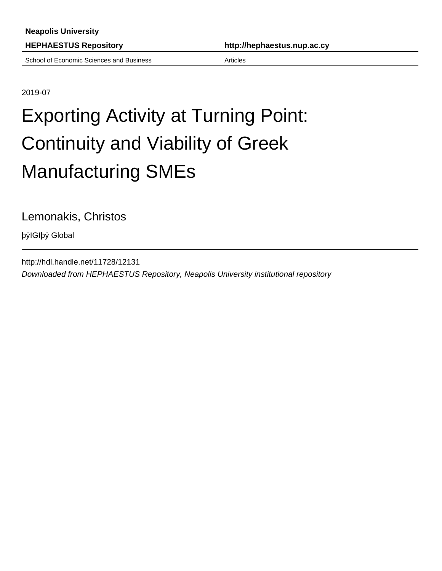School of Economic Sciences and Business **Articles** Articles

**HEPHAESTUS Repository http://hephaestus.nup.ac.cy**

2019-07

# Exporting Activity at Turning Point: Continuity and Viability of Greek Manufacturing SMEs

Lemonakis, Christos

þÿIGIþÿ Global

http://hdl.handle.net/11728/12131 Downloaded from HEPHAESTUS Repository, Neapolis University institutional repository